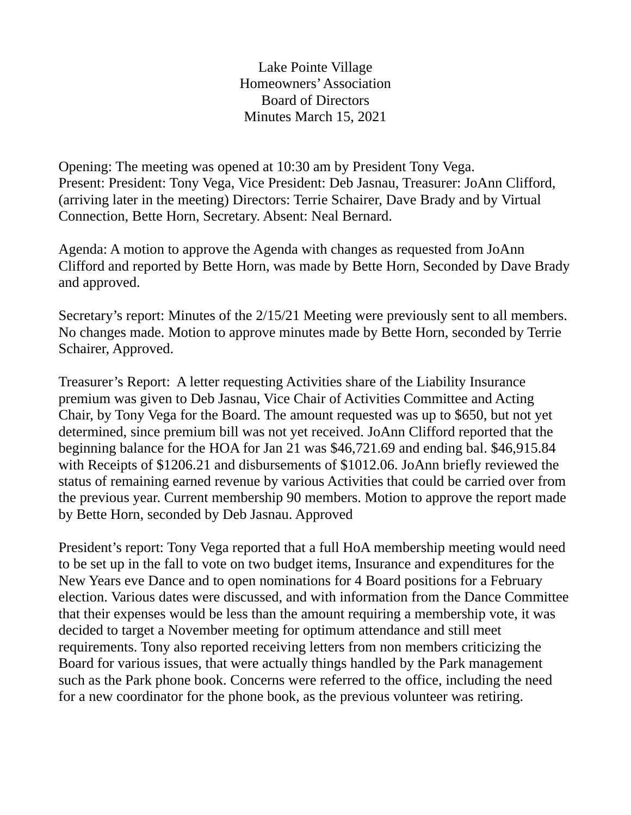Lake Pointe Village Homeowners' Association Board of Directors Minutes March 15, 2021

Opening: The meeting was opened at 10:30 am by President Tony Vega. Present: President: Tony Vega, Vice President: Deb Jasnau, Treasurer: JoAnn Clifford, (arriving later in the meeting) Directors: Terrie Schairer, Dave Brady and by Virtual Connection, Bette Horn, Secretary. Absent: Neal Bernard.

Agenda: A motion to approve the Agenda with changes as requested from JoAnn Clifford and reported by Bette Horn, was made by Bette Horn, Seconded by Dave Brady and approved.

Secretary's report: Minutes of the 2/15/21 Meeting were previously sent to all members. No changes made. Motion to approve minutes made by Bette Horn, seconded by Terrie Schairer, Approved.

Treasurer's Report: A letter requesting Activities share of the Liability Insurance premium was given to Deb Jasnau, Vice Chair of Activities Committee and Acting Chair, by Tony Vega for the Board. The amount requested was up to \$650, but not yet determined, since premium bill was not yet received. JoAnn Clifford reported that the beginning balance for the HOA for Jan 21 was \$46,721.69 and ending bal. \$46,915.84 with Receipts of \$1206.21 and disbursements of \$1012.06. JoAnn briefly reviewed the status of remaining earned revenue by various Activities that could be carried over from the previous year. Current membership 90 members. Motion to approve the report made by Bette Horn, seconded by Deb Jasnau. Approved

President's report: Tony Vega reported that a full HoA membership meeting would need to be set up in the fall to vote on two budget items, Insurance and expenditures for the New Years eve Dance and to open nominations for 4 Board positions for a February election. Various dates were discussed, and with information from the Dance Committee that their expenses would be less than the amount requiring a membership vote, it was decided to target a November meeting for optimum attendance and still meet requirements. Tony also reported receiving letters from non members criticizing the Board for various issues, that were actually things handled by the Park management such as the Park phone book. Concerns were referred to the office, including the need for a new coordinator for the phone book, as the previous volunteer was retiring.